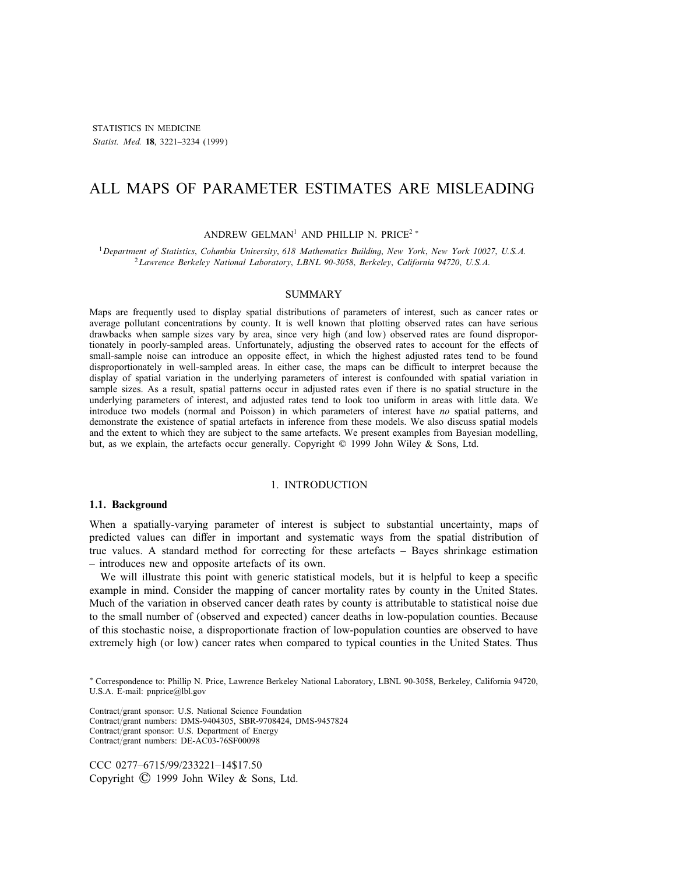# ALL MAPS OF PARAMETER ESTIMATES ARE MISLEADING

ANDREW GELMAN<sup>1</sup> AND PHILLIP N. PRICE<sup>2 \*</sup>

<sup>1</sup>Department of Statistics, Columbia University, 618 Mathematics Building, New York, New York 10027, U.S.A. <sup>2</sup>Lawrence Berkeley National Laboratory; LBNL 90-3058; Berkeley; California 94720; U.S.A.

#### SUMMARY

Maps are frequently used to display spatial distributions of parameters of interest, such as cancer rates or average pollutant concentrations by county. It is well known that plotting observed rates can have serious drawbacks when sample sizes vary by area, since very high (and low) observed rates are found disproportionately in poorly-sampled areas. Unfortunately, adjusting the observed rates to account for the effects of small-sample noise can introduce an opposite effect, in which the highest adjusted rates tend to be found disproportionately in well-sampled areas. In either case, the maps can be dicult to interpret because the display of spatial variation in the underlying parameters of interest is confounded with spatial variation in sample sizes. As a result, spatial patterns occur in adjusted rates even if there is no spatial structure in the underlying parameters of interest, and adjusted rates tend to look too uniform in areas with little data. We introduce two models (normal and Poisson) in which parameters of interest have no spatial patterns, and demonstrate the existence of spatial artefacts in inference from these models. We also discuss spatial models and the extent to which they are subject to the same artefacts. We present examples from Bayesian modelling, but, as we explain, the artefacts occur generally. Copyright  $© 1999$  John Wiley & Sons, Ltd.

# 1. INTRODUCTION

#### 1.1. Background

When a spatially-varying parameter of interest is subject to substantial uncertainty, maps of predicted values can differ in important and systematic ways from the spatial distribution of true values. A standard method for correcting for these artefacts – Bayes shrinkage estimation – introduces new and opposite artefacts of its own.

We will illustrate this point with generic statistical models, but it is helpful to keep a specific example in mind. Consider the mapping of cancer mortality rates by county in the United States. Much of the variation in observed cancer death rates by county is attributable to statistical noise due to the small number of (observed and expected) cancer deaths in low-population counties. Because of this stochastic noise, a disproportionate fraction of low-population counties are observed to have extremely high (or low) cancer rates when compared to typical counties in the United States. Thus

∗ Correspondence to: Phillip N. Price, Lawrence Berkeley National Laboratory, LBNL 90-3058, Berkeley, California 94720, U.S.A. E-mail: pnprice@lbl.gov

Contract/grant sponsor: U.S. National Science Foundation Contract/grant numbers: DMS-9404305, SBR-9708424, DMS-9457824 Contract/grant sponsor: U.S. Department of Energy Contract/grant numbers: DE-AC03-76SF00098

CCC 0277–6715/99/233221–14\$17.50 Copyright  $\odot$  1999 John Wiley & Sons, Ltd.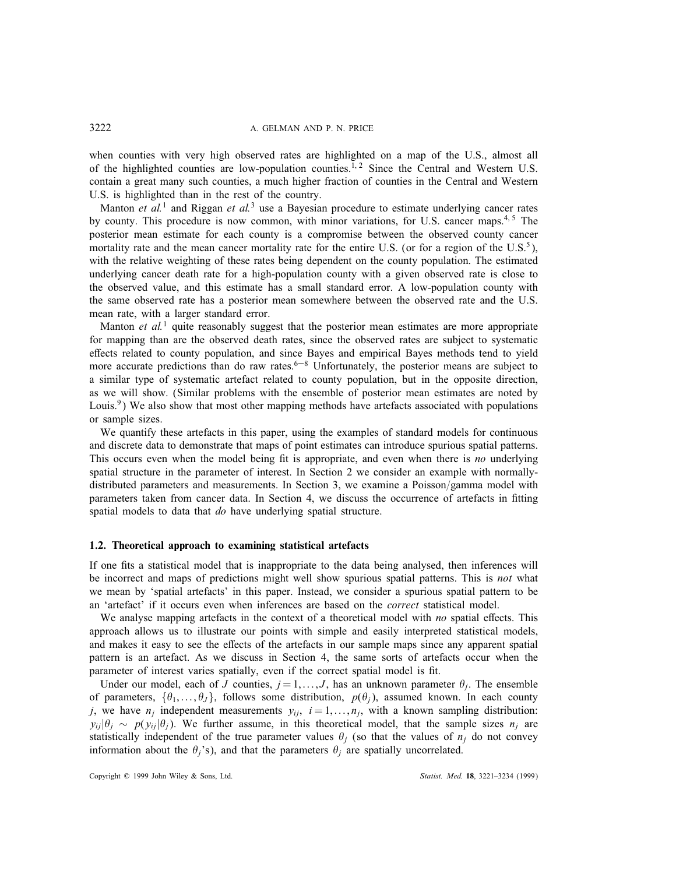when counties with very high observed rates are highlighted on a map of the U.S., almost all of the highlighted counties are low-population counties.<sup>1,2</sup> Since the Central and Western U.S. contain a great many such counties, a much higher fraction of counties in the Central and Western U.S. is highlighted than in the rest of the country.

Manton *et al.*<sup>1</sup> and Riggan *et al.*<sup>3</sup> use a Bayesian procedure to estimate underlying cancer rates by county. This procedure is now common, with minor variations, for U.S. cancer maps.<sup>4,5</sup> The posterior mean estimate for each county is a compromise between the observed county cancer mortality rate and the mean cancer mortality rate for the entire U.S. (or for a region of the U.S.<sup>5</sup>), with the relative weighting of these rates being dependent on the county population. The estimated underlying cancer death rate for a high-population county with a given observed rate is close to the observed value, and this estimate has a small standard error. A low-population county with the same observed rate has a posterior mean somewhere between the observed rate and the U.S. mean rate, with a larger standard error.

Manton *et al.*<sup>1</sup> quite reasonably suggest that the posterior mean estimates are more appropriate for mapping than are the observed death rates, since the observed rates are subject to systematic effects related to county population, and since Bayes and empirical Bayes methods tend to yield more accurate predictions than do raw rates.<sup> $6-8$ </sup> Unfortunately, the posterior means are subject to a similar type of systematic artefact related to county population, but in the opposite direction, as we will show. (Similar problems with the ensemble of posterior mean estimates are noted by Louis.<sup>9</sup>) We also show that most other mapping methods have artefacts associated with populations or sample sizes.

We quantify these artefacts in this paper, using the examples of standard models for continuous and discrete data to demonstrate that maps of point estimates can introduce spurious spatial patterns. This occurs even when the model being fit is appropriate, and even when there is no underlying spatial structure in the parameter of interest. In Section 2 we consider an example with normallydistributed parameters and measurements. In Section 3, we examine a Poisson/gamma model with parameters taken from cancer data. In Section 4, we discuss the occurrence of artefacts in fitting spatial models to data that *do* have underlying spatial structure.

#### 1.2. Theoretical approach to examining statistical artefacts

If one fits a statistical model that is inappropriate to the data being analysed, then inferences will be incorrect and maps of predictions might well show spurious spatial patterns. This is not what we mean by 'spatial artefacts' in this paper. Instead, we consider a spurious spatial pattern to be an 'artefact' if it occurs even when inferences are based on the correct statistical model.

We analyse mapping artefacts in the context of a theoretical model with no spatial effects. This approach allows us to illustrate our points with simple and easily interpreted statistical models, and makes it easy to see the effects of the artefacts in our sample maps since any apparent spatial pattern is an artefact. As we discuss in Section 4, the same sorts of artefacts occur when the parameter of interest varies spatially, even if the correct spatial model is fit.

Under our model, each of J counties,  $j = 1, \ldots, J$ , has an unknown parameter  $\theta_i$ . The ensemble of parameters,  $\{\theta_1,\ldots,\theta_J\}$ , follows some distribution,  $p(\theta_j)$ , assumed known. In each county j, we have  $n_j$  independent measurements  $y_{ij}$ ,  $i = 1,...,n_j$ , with a known sampling distribution:  $y_{ij}|\theta_j \sim p(y_{ij}|\theta_j)$ . We further assume, in this theoretical model, that the sample sizes  $n_i$  are statistically independent of the true parameter values  $\theta_i$  (so that the values of  $n_i$  do not convey information about the  $\theta_i$ 's), and that the parameters  $\theta_i$  are spatially uncorrelated.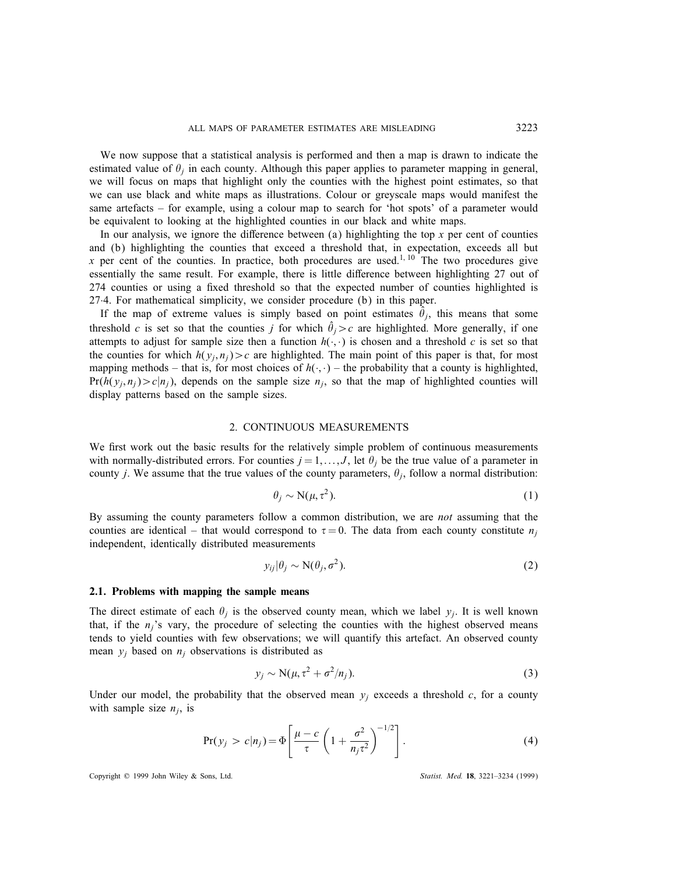We now suppose that a statistical analysis is performed and then a map is drawn to indicate the estimated value of  $\theta_i$  in each county. Although this paper applies to parameter mapping in general, we will focus on maps that highlight only the counties with the highest point estimates, so that we can use black and white maps as illustrations. Colour or greyscale maps would manifest the same artefacts – for example, using a colour map to search for 'hot spots' of a parameter would be equivalent to looking at the highlighted counties in our black and white maps.

In our analysis, we ignore the difference between (a) highlighting the top  $x$  per cent of counties and (b) highlighting the counties that exceed a threshold that, in expectation, exceeds all but x per cent of the counties. In practice, both procedures are used.<sup>1, 10</sup> The two procedures give essentially the same result. For example, there is little difference between highlighting 27 out of 274 counties or using a fixed threshold so that the expected number of counties highlighted is 27·4. For mathematical simplicity, we consider procedure (b) in this paper.

If the map of extreme values is simply based on point estimates  $\hat{\theta}_j$ , this means that some threshold c is set so that the counties j for which  $\hat{\theta}_j > c$  are highlighted. More generally, if one attempts to adjust for sample size then a function  $h(\cdot, \cdot)$  is chosen and a threshold c is set so that the counties for which  $h(y_i, n_i) > c$  are highlighted. The main point of this paper is that, for most mapping methods – that is, for most choices of  $h(\cdot, \cdot)$  – the probability that a county is highlighted,  $Pr(h(y_i, n_i) > c|n_i)$ , depends on the sample size  $n_i$ , so that the map of highlighted counties will display patterns based on the sample sizes.

### 2. CONTINUOUS MEASUREMENTS

We first work out the basic results for the relatively simple problem of continuous measurements with normally-distributed errors. For counties  $j = 1, \ldots, J$ , let  $\theta_j$  be the true value of a parameter in county j. We assume that the true values of the county parameters,  $\theta_i$ , follow a normal distribution:

$$
\theta_j \sim N(\mu, \tau^2). \tag{1}
$$

By assuming the county parameters follow a common distribution, we are *not* assuming that the counties are identical – that would correspond to  $\tau = 0$ . The data from each county constitute  $n_i$ independent, identically distributed measurements

$$
y_{ij}|\theta_j \sim \mathcal{N}(\theta_j, \sigma^2). \tag{2}
$$

# 2.1. Problems with mapping the sample means

The direct estimate of each  $\theta_i$  is the observed county mean, which we label  $y_i$ . It is well known that, if the  $n<sub>i</sub>$ 's vary, the procedure of selecting the counties with the highest observed means tends to yield counties with few observations; we will quantify this artefact. An observed county mean  $y_i$  based on  $n_i$  observations is distributed as

$$
y_j \sim \mathcal{N}(\mu, \tau^2 + \sigma^2 / n_j). \tag{3}
$$

Under our model, the probability that the observed mean  $y_i$  exceeds a threshold c, for a county with sample size  $n_i$ , is

$$
Pr(y_j > c | n_j) = \Phi\left[\frac{\mu - c}{\tau} \left(1 + \frac{\sigma^2}{n_j \tau^2}\right)^{-1/2}\right].
$$
\n(4)

Copyright © 1999 John Wiley & Sons, Ltd. Statist. Med. 18, 3221–3234 (1999)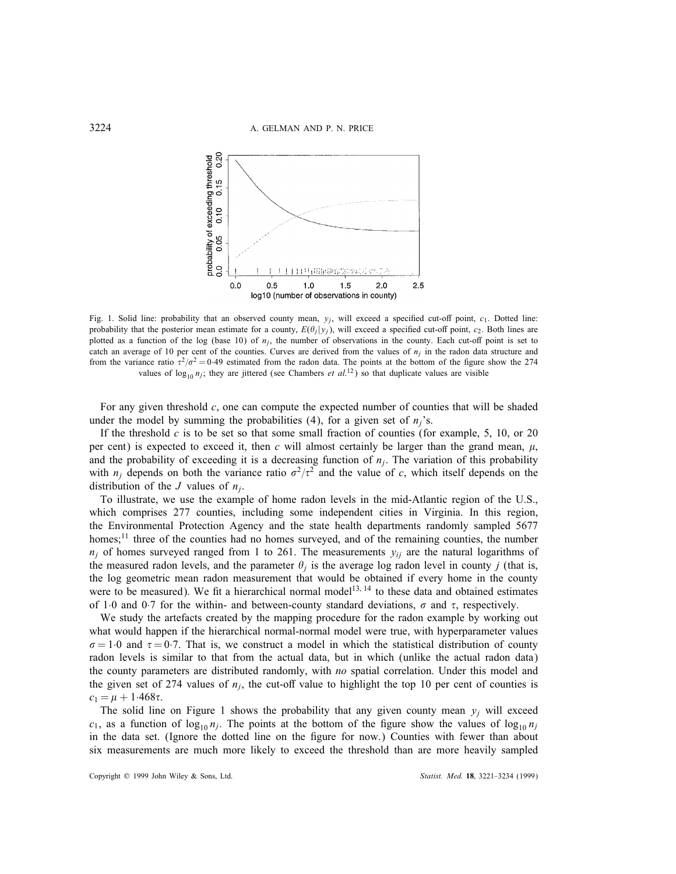

Fig. 1. Solid line: probability that an observed county mean,  $y_j$ , will exceed a specified cut-off point,  $c_1$ . Dotted line: probability that the posterior mean estimate for a county,  $E(\theta_j|y_j)$ , will exceed a specified cut-off point,  $c_2$ . Both lines are plotted as a function of the log (base 10) of  $n_j$ , the number of observations in the county. Each cut-off point is set to catch an average of 10 per cent of the counties. Curves are derived from the values of  $n_i$  in the radon data structure and from the variance ratio  $\tau^2/\sigma^2 = 0.49$  estimated from the radon data. The points at the bottom of the figure show the 274 values of  $log_{10} n_j$ ; they are jittered (see Chambers *et al.*<sup>12</sup>) so that duplicate values are visible

For any given threshold  $c$ , one can compute the expected number of counties that will be shaded under the model by summing the probabilities (4), for a given set of  $n_i$ 's.

If the threshold c is to be set so that some small fraction of counties (for example, 5, 10, or 20 per cent) is expected to exceed it, then c will almost certainly be larger than the grand mean,  $\mu$ , and the probability of exceeding it is a decreasing function of  $n_i$ . The variation of this probability with  $n_i$  depends on both the variance ratio  $\sigma^2/\tau^2$  and the value of c, which itself depends on the distribution of the J values of  $n_i$ .

To illustrate, we use the example of home radon levels in the mid-Atlantic region of the U.S., which comprises 277 counties, including some independent cities in Virginia. In this region, the Environmental Protection Agency and the state health departments randomly sampled 5677 homes;<sup>11</sup> three of the counties had no homes surveyed, and of the remaining counties, the number  $n_i$  of homes surveyed ranged from 1 to 261. The measurements  $y_{ii}$  are the natural logarithms of the measured radon levels, and the parameter  $\theta_i$  is the average log radon level in county j (that is, the log geometric mean radon measurement that would be obtained if every home in the county were to be measured). We fit a hierarchical normal model<sup>13, 14</sup> to these data and obtained estimates of 1.0 and 0.7 for the within- and between-county standard deviations,  $\sigma$  and  $\tau$ , respectively.

We study the artefacts created by the mapping procedure for the radon example by working out what would happen if the hierarchical normal-normal model were true, with hyperparameter values  $\sigma = 1.0$  and  $\tau = 0.7$ . That is, we construct a model in which the statistical distribution of county radon levels is similar to that from the actual data, but in which (unlike the actual radon data) the county parameters are distributed randomly, with no spatial correlation. Under this model and the given set of 274 values of  $n_i$ , the cut-off value to highlight the top 10 per cent of counties is  $c_1 = \mu + 1.468\tau.$ 

The solid line on Figure 1 shows the probability that any given county mean  $y_i$  will exceed  $c_1$ , as a function of  $\log_{10} n_i$ . The points at the bottom of the figure show the values of  $\log_{10} n_i$ in the data set. (Ignore the dotted line on the figure for now.) Counties with fewer than about six measurements are much more likely to exceed the threshold than are more heavily sampled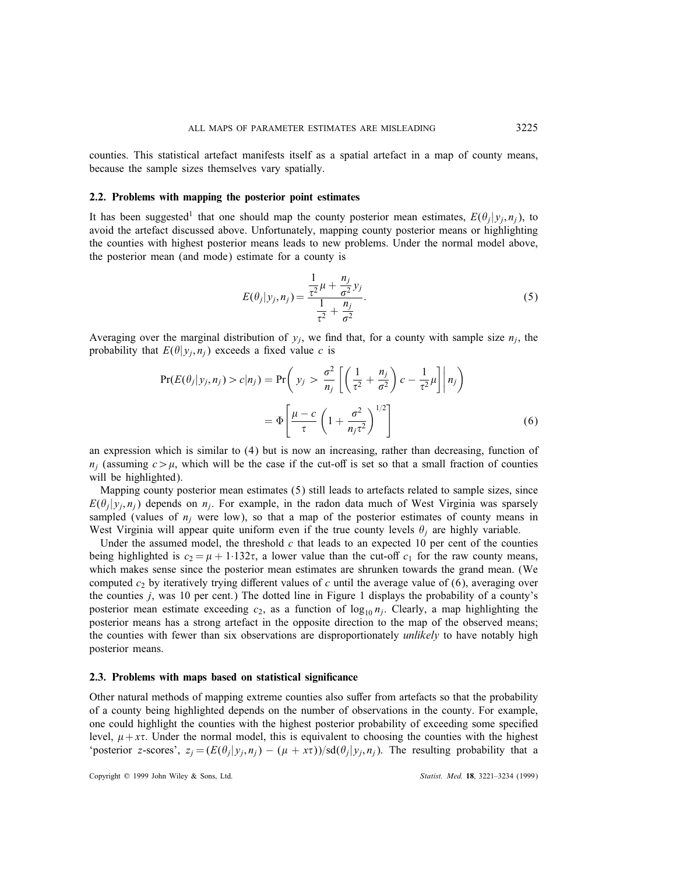counties. This statistical artefact manifests itself as a spatial artefact in a map of county means, because the sample sizes themselves vary spatially.

# 2.2. Problems with mapping the posterior point estimates

It has been suggested<sup>1</sup> that one should map the county posterior mean estimates,  $E(\theta_i|y_i, n_i)$ , to avoid the artefact discussed above. Unfortunately, mapping county posterior means or highlighting the counties with highest posterior means leads to new problems. Under the normal model above, the posterior mean (and mode) estimate for a county is

$$
E(\theta_j | y_j, n_j) = \frac{\frac{1}{\tau^2} \mu + \frac{n_j}{\sigma^2} y_j}{\frac{1}{\tau^2} + \frac{n_j}{\sigma^2}}.
$$
\n(5)

Averaging over the marginal distribution of  $y_i$ , we find that, for a county with sample size  $n_i$ , the probability that  $E(\theta | y_i, n_i)$  exceeds a fixed value c is

$$
Pr(E(\theta_j | y_j, n_j) > c | n_j) = Pr\left(y_j > \frac{\sigma^2}{n_j} \left[ \left( \frac{1}{\tau^2} + \frac{n_j}{\sigma^2} \right) c - \frac{1}{\tau^2} \mu \right] \middle| n_j \right)
$$
  
= 
$$
\Phi\left[ \frac{\mu - c}{\tau} \left( 1 + \frac{\sigma^2}{n_j \tau^2} \right)^{1/2} \right]
$$
(6)

an expression which is similar to (4) but is now an increasing, rather than decreasing, function of  $n_i$  (assuming  $c > \mu$ , which will be the case if the cut-off is set so that a small fraction of counties will be highlighted).

Mapping county posterior mean estimates (5) still leads to artefacts related to sample sizes, since  $E(\theta_i|y_i, n_i)$  depends on  $n_i$ . For example, in the radon data much of West Virginia was sparsely sampled (values of  $n_i$  were low), so that a map of the posterior estimates of county means in West Virginia will appear quite uniform even if the true county levels  $\theta_i$  are highly variable.

Under the assumed model, the threshold  $c$  that leads to an expected 10 per cent of the counties being highlighted is  $c_2 = \mu + 1.132\tau$ , a lower value than the cut-off  $c_1$  for the raw county means, which makes sense since the posterior mean estimates are shrunken towards the grand mean. (We computed  $c_2$  by iteratively trying different values of c until the average value of (6), averaging over the counties  $j$ , was 10 per cent.) The dotted line in Figure 1 displays the probability of a county's posterior mean estimate exceeding  $c_2$ , as a function of  $\log_{10} n_i$ . Clearly, a map highlighting the posterior means has a strong artefact in the opposite direction to the map of the observed means; the counties with fewer than six observations are disproportionately *unlikely* to have notably high posterior means.

#### 2.3. Problems with maps based on statistical signicance

Other natural methods of mapping extreme counties also suffer from artefacts so that the probability of a county being highlighted depends on the number of observations in the county. For example, one could highlight the counties with the highest posterior probability of exceeding some specied level,  $\mu + x\tau$ . Under the normal model, this is equivalent to choosing the counties with the highest 'posterior z-scores',  $z_j = (E(\theta_j|y_j, n_j) - (\mu + x\tau))/\text{sd}(\theta_j|y_j, n_j)$ . The resulting probability that a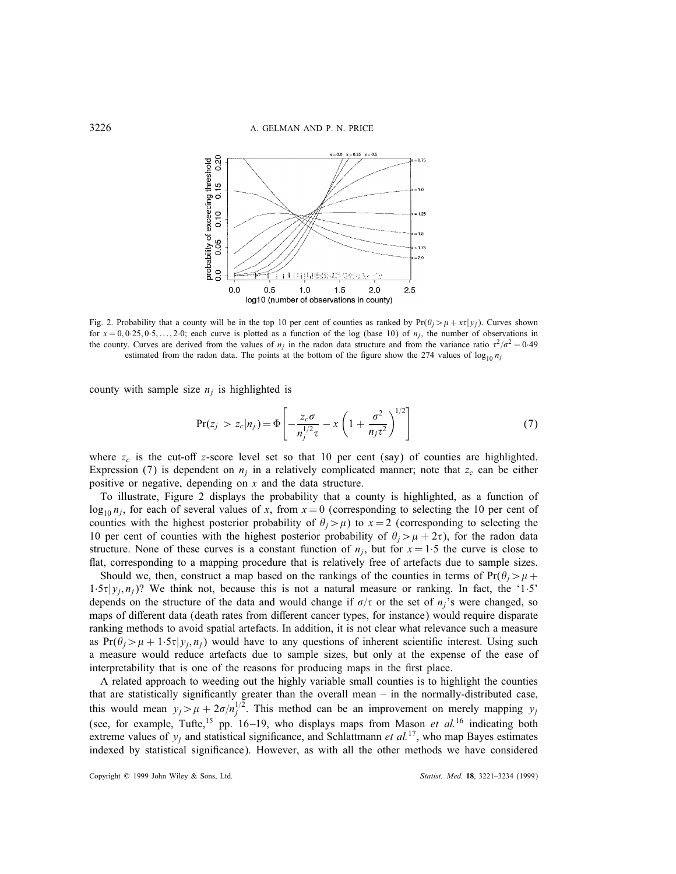

Fig. 2. Probability that a county will be in the top 10 per cent of counties as ranked by  $Pr(\theta_i > \mu + x|\mathbf{y}_i)$ . Curves shown for  $x = 0, 0.25, 0.5,..., 2.0$ ; each curve is plotted as a function of the log (base 10) of  $n_i$ , the number of observations in the county. Curves are derived from the values of  $n_j$  in the radon data structure and from the variance ratio  $\tau^2/\sigma^2 = 0.49$ estimated from the radon data. The points at the bottom of the figure show the 274 values of  $\log_{10} n_j$ 

county with sample size  $n_i$  is highlighted is

$$
\Pr(z_j > z_c | n_j) = \Phi \left[ -\frac{z_c \sigma}{n_j^{1/2} \tau} - x \left( 1 + \frac{\sigma^2}{n_j \tau^2} \right)^{1/2} \right] \tag{7}
$$

where  $z_c$  is the cut-off z-score level set so that 10 per cent (say) of counties are highlighted. Expression (7) is dependent on  $n_i$  in a relatively complicated manner; note that  $z_c$  can be either positive or negative, depending on x and the data structure.

To illustrate, Figure 2 displays the probability that a county is highlighted, as a function of  $\log_{10} n_i$ , for each of several values of x, from  $x = 0$  (corresponding to selecting the 10 per cent of counties with the highest posterior probability of  $\theta_i > \mu$ ) to  $x = 2$  (corresponding to selecting the 10 per cent of counties with the highest posterior probability of  $\theta_i > \mu + 2\tau$ ), for the radon data structure. None of these curves is a constant function of  $n_i$ , but for  $x = 1.5$  the curve is close to flat, corresponding to a mapping procedure that is relatively free of artefacts due to sample sizes.

Should we, then, construct a map based on the rankings of the counties in terms of  $Pr(\theta_i > \mu +$  $1.5\tau|y_i, n_i\rangle$ ? We think not, because this is not a natural measure or ranking. In fact, the '1.5' depends on the structure of the data and would change if  $\sigma/\tau$  or the set of  $n_i$ 's were changed, so maps of different data (death rates from different cancer types, for instance) would require disparate ranking methods to avoid spatial artefacts. In addition, it is not clear what relevance such a measure as  $Pr(\theta_i > \mu + 1.5\tau | y_i, n_i)$  would have to any questions of inherent scientific interest. Using such a measure would reduce artefacts due to sample sizes, but only at the expense of the ease of interpretability that is one of the reasons for producing maps in the first place.

A related approach to weeding out the highly variable small counties is to highlight the counties that are statistically significantly greater than the overall mean – in the normally-distributed case, this would mean  $y_j > \mu + 2\sigma/n_j^{1/2}$ . This method can be an improvement on merely mapping  $y_j$ (see, for example, Tufte,<sup>15</sup> pp. 16–19, who displays maps from Mason et al.<sup>16</sup> indicating both extreme values of  $y_i$  and statistical significance, and Schlattmann *et al.*<sup>17</sup>, who map Bayes estimates indexed by statistical significance). However, as with all the other methods we have considered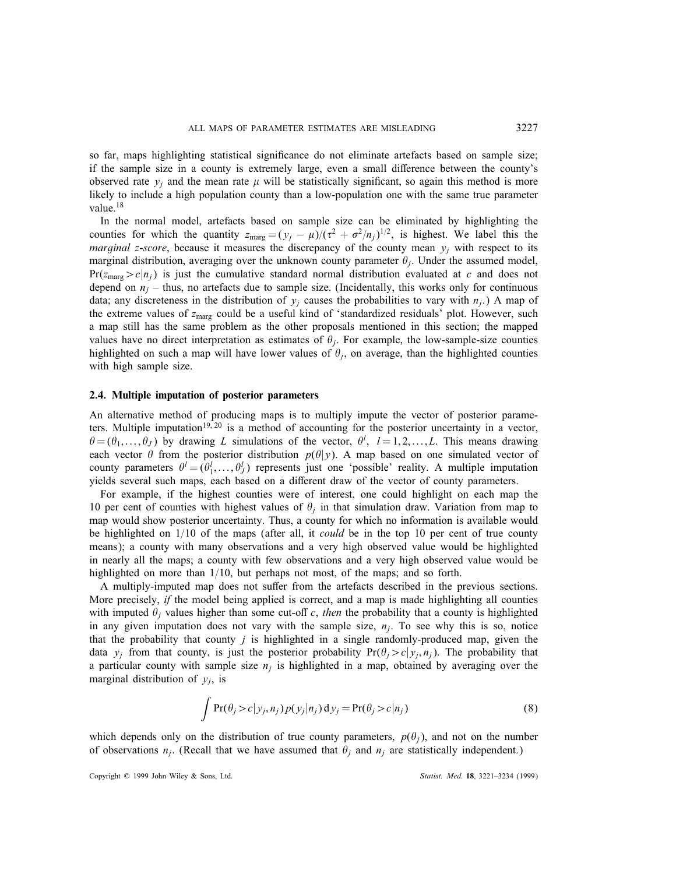so far, maps highlighting statistical signicance do not eliminate artefacts based on sample size; if the sample size in a county is extremely large, even a small difference between the county's observed rate  $y_i$  and the mean rate  $\mu$  will be statistically significant, so again this method is more likely to include a high population county than a low-population one with the same true parameter value.<sup>18</sup>

In the normal model, artefacts based on sample size can be eliminated by highlighting the counties for which the quantity  $z_{\text{marg}} = (y_j - \mu)/(\tau^2 + \sigma^2/n_j)^{1/2}$ , is highest. We label this the *marginal z-score*, because it measures the discrepancy of the county mean  $y_i$  with respect to its marginal distribution, averaging over the unknown county parameter  $\theta_i$ . Under the assumed model,  $Pr(z_{\text{marg}} > c|n_i)$  is just the cumulative standard normal distribution evaluated at c and does not depend on  $n_i$  – thus, no artefacts due to sample size. (Incidentally, this works only for continuous data; any discreteness in the distribution of  $y_i$  causes the probabilities to vary with  $n_i$ .) A map of the extreme values of  $z_{\text{marg}}$  could be a useful kind of 'standardized residuals' plot. However, such a map still has the same problem as the other proposals mentioned in this section; the mapped values have no direct interpretation as estimates of  $\theta_i$ . For example, the low-sample-size counties highlighted on such a map will have lower values of  $\theta_i$ , on average, than the highlighted counties with high sample size.

# 2.4. Multiple imputation of posterior parameters

An alternative method of producing maps is to multiply impute the vector of posterior parameters. Multiple imputation<sup>19, 20</sup> is a method of accounting for the posterior uncertainty in a vector,  $\theta = (\theta_1, \ldots, \theta_J)$  by drawing L simulations of the vector,  $\theta^l$ ,  $l = 1, 2, \ldots, L$ . This means drawing each vector  $\theta$  from the posterior distribution  $p(\theta|y)$ . A map based on one simulated vector of county parameters  $\theta^l = (\theta_1^l, \dots, \theta_J^l)$  represents just one 'possible' reality. A multiple imputation yields several such maps, each based on a different draw of the vector of county parameters.

For example, if the highest counties were of interest, one could highlight on each map the 10 per cent of counties with highest values of  $\theta_i$  in that simulation draw. Variation from map to map would show posterior uncertainty. Thus, a county for which no information is available would be highlighted on  $1/10$  of the maps (after all, it *could* be in the top 10 per cent of true county means); a county with many observations and a very high observed value would be highlighted in nearly all the maps; a county with few observations and a very high observed value would be highlighted on more than  $1/10$ , but perhaps not most, of the maps; and so forth.

A multiply-imputed map does not suffer from the artefacts described in the previous sections. More precisely, if the model being applied is correct, and a map is made highlighting all counties with imputed  $\theta_i$  values higher than some cut-off c, then the probability that a county is highlighted in any given imputation does not vary with the sample size,  $n<sub>i</sub>$ . To see why this is so, notice that the probability that county  $j$  is highlighted in a single randomly-produced map, given the data  $y_i$  from that county, is just the posterior probability  $Pr(\theta_i > c|y_i, n_i)$ . The probability that a particular county with sample size  $n_i$  is highlighted in a map, obtained by averaging over the marginal distribution of  $y_i$ , is

$$
\int \Pr(\theta_j > c | y_j, n_j) p(y_j | n_j) \, \mathrm{d}y_j = \Pr(\theta_j > c | n_j) \tag{8}
$$

which depends only on the distribution of true county parameters,  $p(\theta_i)$ , and not on the number of observations  $n_i$ . (Recall that we have assumed that  $\theta_i$  and  $n_i$  are statistically independent.)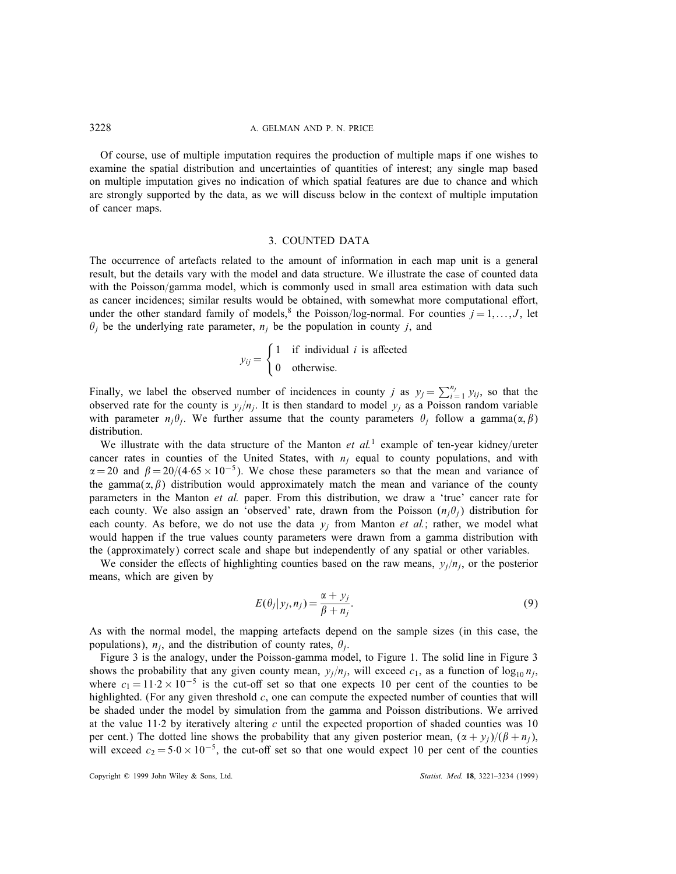Of course, use of multiple imputation requires the production of multiple maps if one wishes to examine the spatial distribution and uncertainties of quantities of interest; any single map based on multiple imputation gives no indication of which spatial features are due to chance and which are strongly supported by the data, as we will discuss below in the context of multiple imputation of cancer maps.

#### 3. COUNTED DATA

The occurrence of artefacts related to the amount of information in each map unit is a general result, but the details vary with the model and data structure. We illustrate the case of counted data with the Poisson/gamma model, which is commonly used in small area estimation with data such as cancer incidences; similar results would be obtained, with somewhat more computational effort, under the other standard family of models,<sup>8</sup> the Poisson/log-normal. For counties  $j = 1, \ldots, J$ , let  $\theta_i$  be the underlying rate parameter,  $n_i$  be the population in county j, and

$$
y_{ij} = \begin{cases} 1 & \text{if individual } i \text{ is affected} \\ 0 & \text{otherwise.} \end{cases}
$$

Finally, we label the observed number of incidences in county j as  $y_j = \sum_{i=1}^{n_j} y_{ij}$ , so that the observed rate for the county is  $y_i/n_i$ . It is then standard to model  $y_i$  as a Poisson random variable with parameter  $n_i \theta_i$ . We further assume that the county parameters  $\theta_i$  follow a gamma $(\alpha, \beta)$ distribution.

We illustrate with the data structure of the Manton et  $al$ <sup>1</sup> example of ten-year kidney/ureter cancer rates in counties of the United States, with  $n_i$  equal to county populations, and with  $\alpha = 20$  and  $\beta = 20/(4.65 \times 10^{-5})$ . We chose these parameters so that the mean and variance of the gamma $(\alpha, \beta)$  distribution would approximately match the mean and variance of the county parameters in the Manton et al. paper. From this distribution, we draw a 'true' cancer rate for each county. We also assign an 'observed' rate, drawn from the Poisson  $(n_i \theta_i)$  distribution for each county. As before, we do not use the data  $y_i$  from Manton *et al.*; rather, we model what would happen if the true values county parameters were drawn from a gamma distribution with the (approximately) correct scale and shape but independently of any spatial or other variables.

We consider the effects of highlighting counties based on the raw means,  $y_j/n_j$ , or the posterior means, which are given by

$$
E(\theta_j|y_j, n_j) = \frac{\alpha + y_j}{\beta + n_j}.
$$
\n(9)

As with the normal model, the mapping artefacts depend on the sample sizes (in this case, the populations),  $n_i$ , and the distribution of county rates,  $\theta_i$ .

Figure 3 is the analogy, under the Poisson-gamma model, to Figure 1. The solid line in Figure 3 shows the probability that any given county mean,  $y_i/n_i$ , will exceed  $c_1$ , as a function of  $\log_{10} n_i$ , where  $c_1 = 11.2 \times 10^{-5}$  is the cut-off set so that one expects 10 per cent of the counties to be highlighted. (For any given threshold  $c$ , one can compute the expected number of counties that will be shaded under the model by simulation from the gamma and Poisson distributions. We arrived at the value 11.2 by iteratively altering c until the expected proportion of shaded counties was 10 per cent.) The dotted line shows the probability that any given posterior mean,  $(\alpha + y_i)/(\beta + n_i)$ , will exceed  $c_2 = 5.0 \times 10^{-5}$ , the cut-off set so that one would expect 10 per cent of the counties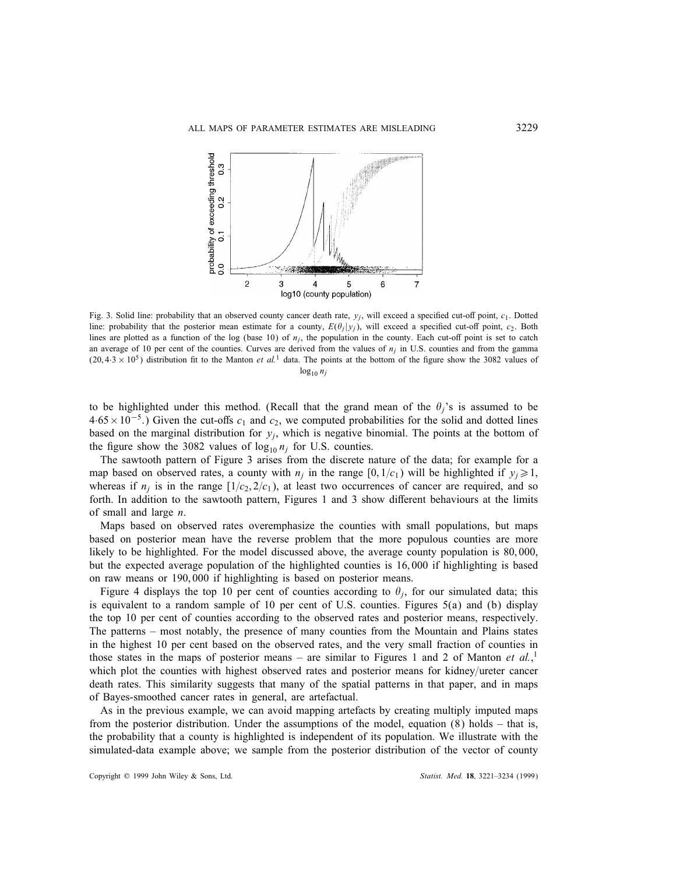

Fig. 3. Solid line: probability that an observed county cancer death rate,  $y_i$ , will exceed a specified cut-off point,  $c_1$ . Dotted line: probability that the posterior mean estimate for a county,  $E(\theta_j|y_j)$ , will exceed a specified cut-off point,  $c_2$ . Both lines are plotted as a function of the log (base 10) of  $n_i$ , the population in the county. Each cut-off point is set to catch an average of 10 per cent of the counties. Curves are derived from the values of  $n_i$  in U.S. counties and from the gamma  $(20,4.3 \times 10^5)$  distribution fit to the Manton *et al.*<sup>1</sup> data. The points at the bottom of the figure show the 3082 values of  $\log_{10} n_j$ 

to be highlighted under this method. (Recall that the grand mean of the  $\theta_i$ 's is assumed to be  $4.65 \times 10^{-5}$ .) Given the cut-offs  $c_1$  and  $c_2$ , we computed probabilities for the solid and dotted lines based on the marginal distribution for  $y_j$ , which is negative binomial. The points at the bottom of the figure show the 3082 values of  $\log_{10} n_i$  for U.S. counties.

The sawtooth pattern of Figure 3 arises from the discrete nature of the data; for example for a map based on observed rates, a county with  $n_i$  in the range  $[0, 1/c_1)$  will be highlighted if  $y_i \ge 1$ , whereas if  $n_i$  is in the range  $[1/c_2, 2/c_1)$ , at least two occurrences of cancer are required, and so forth. In addition to the sawtooth pattern, Figures 1 and 3 show different behaviours at the limits of small and large n.

Maps based on observed rates overemphasize the counties with small populations, but maps based on posterior mean have the reverse problem that the more populous counties are more likely to be highlighted. For the model discussed above, the average county population is 80,000, but the expected average population of the highlighted counties is 16; 000 if highlighting is based on raw means or 190; 000 if highlighting is based on posterior means.

Figure 4 displays the top 10 per cent of counties according to  $\theta_i$ , for our simulated data; this is equivalent to a random sample of 10 per cent of U.S. counties. Figures 5(a) and (b) display the top 10 per cent of counties according to the observed rates and posterior means, respectively. The patterns – most notably, the presence of many counties from the Mountain and Plains states in the highest 10 per cent based on the observed rates, and the very small fraction of counties in those states in the maps of posterior means – are similar to Figures 1 and 2 of Manton et  $al$ ,<sup>1</sup>, which plot the counties with highest observed rates and posterior means for kidney/ureter cancer death rates. This similarity suggests that many of the spatial patterns in that paper, and in maps of Bayes-smoothed cancer rates in general, are artefactual.

As in the previous example, we can avoid mapping artefacts by creating multiply imputed maps from the posterior distribution. Under the assumptions of the model, equation (8) holds – that is, the probability that a county is highlighted is independent of its population. We illustrate with the simulated-data example above; we sample from the posterior distribution of the vector of county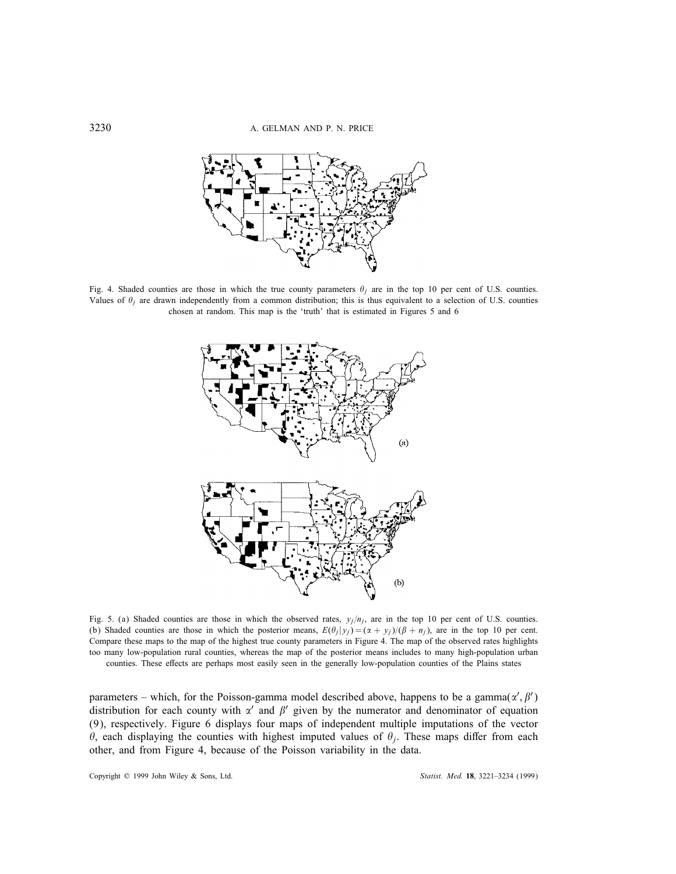

Fig. 4. Shaded counties are those in which the true county parameters  $\theta_i$  are in the top 10 per cent of U.S. counties. Values of  $\theta_i$  are drawn independently from a common distribution; this is thus equivalent to a selection of U.S. counties chosen at random. This map is the 'truth' that is estimated in Figures 5 and 6



Fig. 5. (a) Shaded counties are those in which the observed rates,  $y_j/n_j$ , are in the top 10 per cent of U.S. counties. (b) Shaded counties are those in which the posterior means,  $E(\theta_j|y_j) = (\alpha + y_j)/(\beta + n_j)$ , are in the top 10 per cent. Compare these maps to the map of the highest true county parameters in Figure 4. The map of the observed rates highlights too many low-population rural counties, whereas the map of the posterior means includes to many high-population urban counties. These effects are perhaps most easily seen in the generally low-population counties of the Plains states

parameters – which, for the Poisson-gamma model described above, happens to be a gamma $(\alpha', \beta')$ distribution for each county with  $\alpha'$  and  $\beta'$  given by the numerator and denominator of equation (9), respectively. Figure 6 displays four maps of independent multiple imputations of the vector  $\theta$ , each displaying the counties with highest imputed values of  $\theta$ . These maps differ from each other, and from Figure 4, because of the Poisson variability in the data.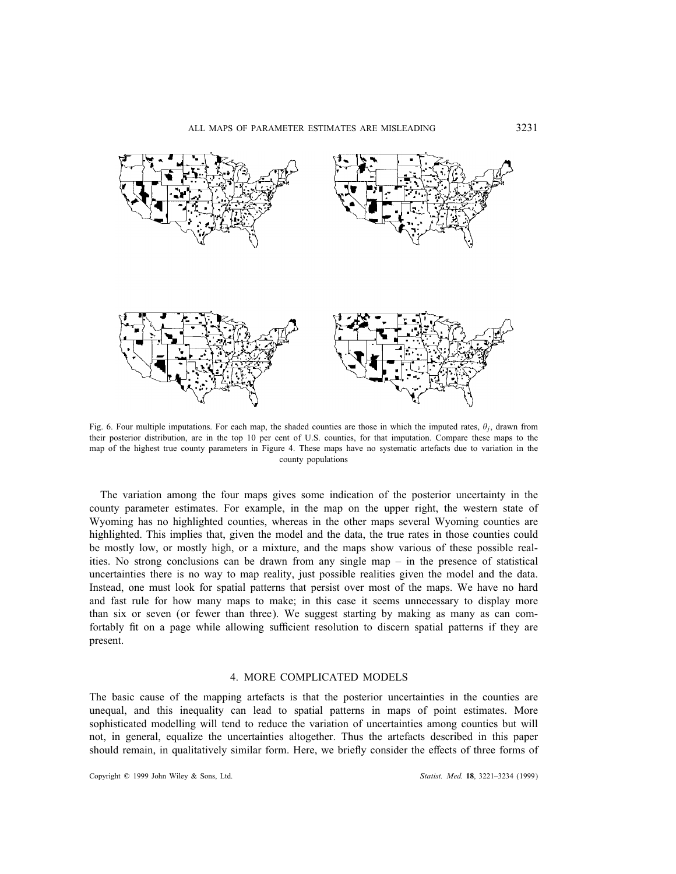

Fig. 6. Four multiple imputations. For each map, the shaded counties are those in which the imputed rates,  $\theta_i$ , drawn from their posterior distribution, are in the top 10 per cent of U.S. counties, for that imputation. Compare these maps to the map of the highest true county parameters in Figure 4. These maps have no systematic artefacts due to variation in the county populations

The variation among the four maps gives some indication of the posterior uncertainty in the county parameter estimates. For example, in the map on the upper right, the western state of Wyoming has no highlighted counties, whereas in the other maps several Wyoming counties are highlighted. This implies that, given the model and the data, the true rates in those counties could be mostly low, or mostly high, or a mixture, and the maps show various of these possible realities. No strong conclusions can be drawn from any single map  $-$  in the presence of statistical uncertainties there is no way to map reality, just possible realities given the model and the data. Instead, one must look for spatial patterns that persist over most of the maps. We have no hard and fast rule for how many maps to make; in this case it seems unnecessary to display more than six or seven (or fewer than three). We suggest starting by making as many as can comfortably fit on a page while allowing sufficient resolution to discern spatial patterns if they are present.

# 4. MORE COMPLICATED MODELS

The basic cause of the mapping artefacts is that the posterior uncertainties in the counties are unequal, and this inequality can lead to spatial patterns in maps of point estimates. More sophisticated modelling will tend to reduce the variation of uncertainties among counties but will not, in general, equalize the uncertainties altogether. Thus the artefacts described in this paper should remain, in qualitatively similar form. Here, we briefly consider the effects of three forms of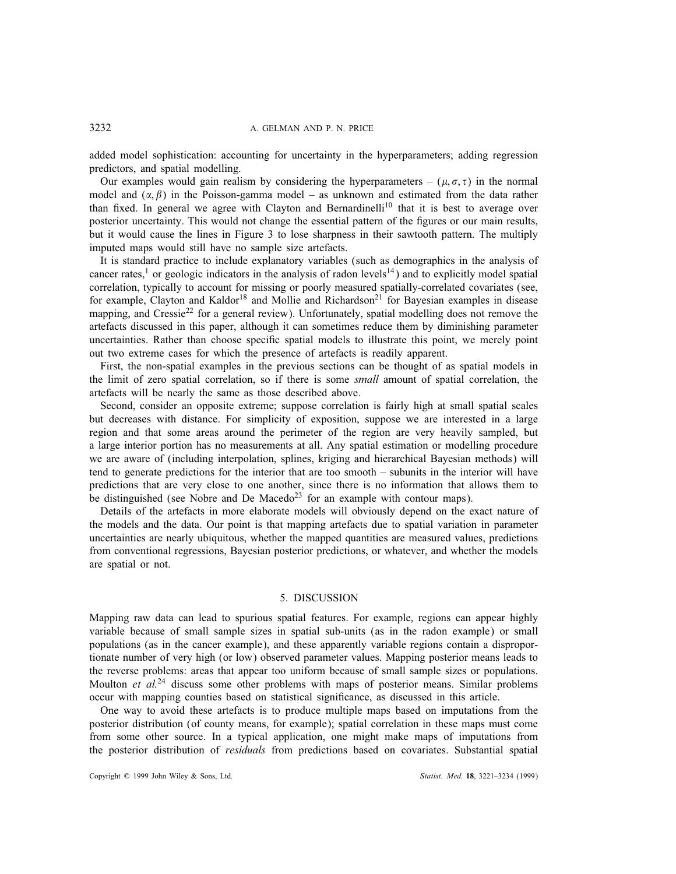added model sophistication: accounting for uncertainty in the hyperparameters; adding regression predictors, and spatial modelling.

Our examples would gain realism by considering the hyperparameters –  $(\mu, \sigma, \tau)$  in the normal model and  $(\alpha, \beta)$  in the Poisson-gamma model – as unknown and estimated from the data rather than fixed. In general we agree with Clayton and Bernardinelli<sup>10</sup> that it is best to average over posterior uncertainty. This would not change the essential pattern of the figures or our main results, but it would cause the lines in Figure 3 to lose sharpness in their sawtooth pattern. The multiply imputed maps would still have no sample size artefacts.

It is standard practice to include explanatory variables (such as demographics in the analysis of cancer rates,<sup>1</sup> or geologic indicators in the analysis of radon levels<sup>14</sup>) and to explicitly model spatial correlation, typically to account for missing or poorly measured spatially-correlated covariates (see, for example, Clayton and Kaldor<sup>18</sup> and Mollie and Richardson<sup>21</sup> for Bayesian examples in disease mapping, and Cressie<sup>22</sup> for a general review). Unfortunately, spatial modelling does not remove the artefacts discussed in this paper, although it can sometimes reduce them by diminishing parameter uncertainties. Rather than choose specic spatial models to illustrate this point, we merely point out two extreme cases for which the presence of artefacts is readily apparent.

First, the non-spatial examples in the previous sections can be thought of as spatial models in the limit of zero spatial correlation, so if there is some small amount of spatial correlation, the artefacts will be nearly the same as those described above.

Second, consider an opposite extreme; suppose correlation is fairly high at small spatial scales but decreases with distance. For simplicity of exposition, suppose we are interested in a large region and that some areas around the perimeter of the region are very heavily sampled, but a large interior portion has no measurements at all. Any spatial estimation or modelling procedure we are aware of (including interpolation, splines, kriging and hierarchical Bayesian methods) will tend to generate predictions for the interior that are too smooth – subunits in the interior will have predictions that are very close to one another, since there is no information that allows them to be distinguished (see Nobre and De Macedo<sup>23</sup> for an example with contour maps).

Details of the artefacts in more elaborate models will obviously depend on the exact nature of the models and the data. Our point is that mapping artefacts due to spatial variation in parameter uncertainties are nearly ubiquitous, whether the mapped quantities are measured values, predictions from conventional regressions, Bayesian posterior predictions, or whatever, and whether the models are spatial or not.

# 5. DISCUSSION

Mapping raw data can lead to spurious spatial features. For example, regions can appear highly variable because of small sample sizes in spatial sub-units (as in the radon example) or small populations (as in the cancer example), and these apparently variable regions contain a disproportionate number of very high (or low) observed parameter values. Mapping posterior means leads to the reverse problems: areas that appear too uniform because of small sample sizes or populations. Moulton *et al.*<sup>24</sup> discuss some other problems with maps of posterior means. Similar problems occur with mapping counties based on statistical signicance, as discussed in this article.

One way to avoid these artefacts is to produce multiple maps based on imputations from the posterior distribution (of county means, for example); spatial correlation in these maps must come from some other source. In a typical application, one might make maps of imputations from the posterior distribution of residuals from predictions based on covariates. Substantial spatial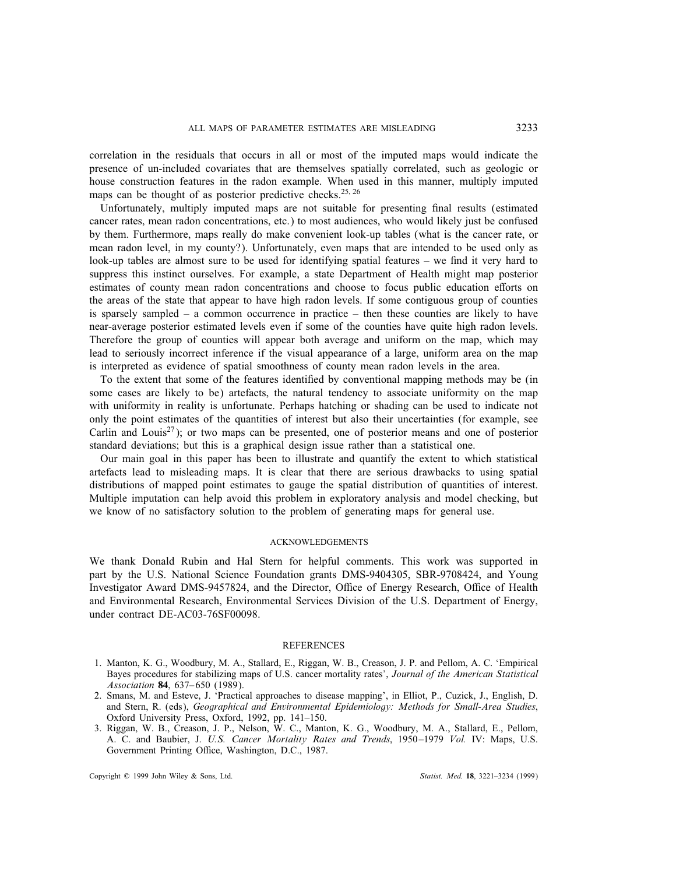correlation in the residuals that occurs in all or most of the imputed maps would indicate the presence of un-included covariates that are themselves spatially correlated, such as geologic or house construction features in the radon example. When used in this manner, multiply imputed maps can be thought of as posterior predictive checks.<sup>25, 26</sup>

Unfortunately, multiply imputed maps are not suitable for presenting final results (estimated cancer rates, mean radon concentrations, etc.) to most audiences, who would likely just be confused by them. Furthermore, maps really do make convenient look-up tables (what is the cancer rate, or mean radon level, in my county?). Unfortunately, even maps that are intended to be used only as look-up tables are almost sure to be used for identifying spatial features – we find it very hard to suppress this instinct ourselves. For example, a state Department of Health might map posterior estimates of county mean radon concentrations and choose to focus public education efforts on the areas of the state that appear to have high radon levels. If some contiguous group of counties is sparsely sampled – a common occurrence in practice – then these counties are likely to have near-average posterior estimated levels even if some of the counties have quite high radon levels. Therefore the group of counties will appear both average and uniform on the map, which may lead to seriously incorrect inference if the visual appearance of a large, uniform area on the map is interpreted as evidence of spatial smoothness of county mean radon levels in the area.

To the extent that some of the features identified by conventional mapping methods may be (in some cases are likely to be) artefacts, the natural tendency to associate uniformity on the map with uniformity in reality is unfortunate. Perhaps hatching or shading can be used to indicate not only the point estimates of the quantities of interest but also their uncertainties (for example, see Carlin and Louis<sup>27</sup>); or two maps can be presented, one of posterior means and one of posterior standard deviations; but this is a graphical design issue rather than a statistical one.

Our main goal in this paper has been to illustrate and quantify the extent to which statistical artefacts lead to misleading maps. It is clear that there are serious drawbacks to using spatial distributions of mapped point estimates to gauge the spatial distribution of quantities of interest. Multiple imputation can help avoid this problem in exploratory analysis and model checking, but we know of no satisfactory solution to the problem of generating maps for general use.

#### ACKNOWLEDGEMENTS

We thank Donald Rubin and Hal Stern for helpful comments. This work was supported in part by the U.S. National Science Foundation grants DMS-9404305, SBR-9708424, and Young Investigator Award DMS-9457824, and the Director, Office of Energy Research, Office of Health and Environmental Research, Environmental Services Division of the U.S. Department of Energy, under contract DE-AC03-76SF00098.

#### REFERENCES

- 1. Manton, K. G., Woodbury, M. A., Stallard, E., Riggan, W. B., Creason, J. P. and Pellom, A. C. 'Empirical Bayes procedures for stabilizing maps of U.S. cancer mortality rates', Journal of the American Statistical Association 84, 637–650 (1989).
- 2. Smans, M. and Esteve, J. 'Practical approaches to disease mapping', in Elliot, P., Cuzick, J., English, D. and Stern, R. (eds), Geographical and Environmental Epidemiology: Methods for Small-Area Studies, Oxford University Press, Oxford, 1992, pp. 141–150.
- 3. Riggan, W. B., Creason, J. P., Nelson, W. C., Manton, K. G., Woodbury, M. A., Stallard, E., Pellom, A. C. and Baubier, J. U.S. Cancer Mortality Rates and Trends, 1950 –1979 Vol. IV: Maps, U.S. Government Printing Office, Washington, D.C., 1987.

Copyright © 1999 John Wiley & Sons, Ltd. Statist. Med. 18, 3221-3234 (1999)